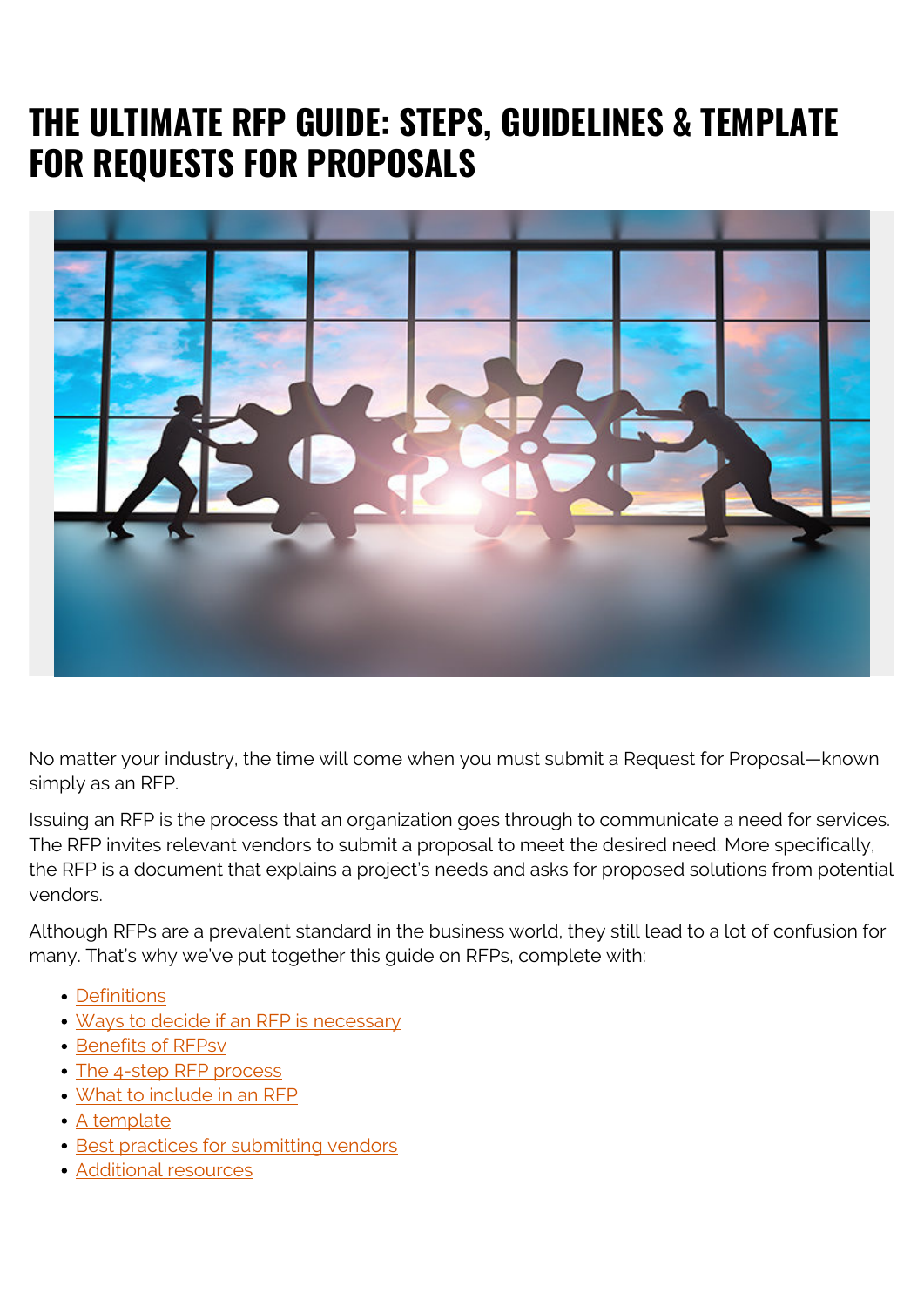# **THE ULTIMATE RFP GUIDE: STEPS, GUIDELINES & TEMPLATE FOR REQUESTS FOR PROPOSALS**



No matter your industry, the time will come when you must submit a Request for Proposal—known simply as an RFP.

Issuing an RFP is the process that an organization goes through to communicate a need for services. The RFP invites relevant vendors to submit a proposal to meet the desired need. More specifically, the RFP is a document that explains a project's needs and asks for proposed solutions from potential vendors.

Although RFPs are a prevalent standard in the business world, they still lead to a lot of confusion for many. That's why we've put together this guide on RFPs, complete with:

- [Definitions](#page--1-0)
- [Ways to decide if an RFP is necessary](#page--1-0)
- [Benefits of RFPsv](#page--1-0)
- [The 4-step RFP process](#page--1-0)
- [What to include in an RFP](#page--1-0)
- [A template](#page--1-0)
- [Best practices for submitting vendors](#page--1-0)
- [Additional resources](#page--1-0)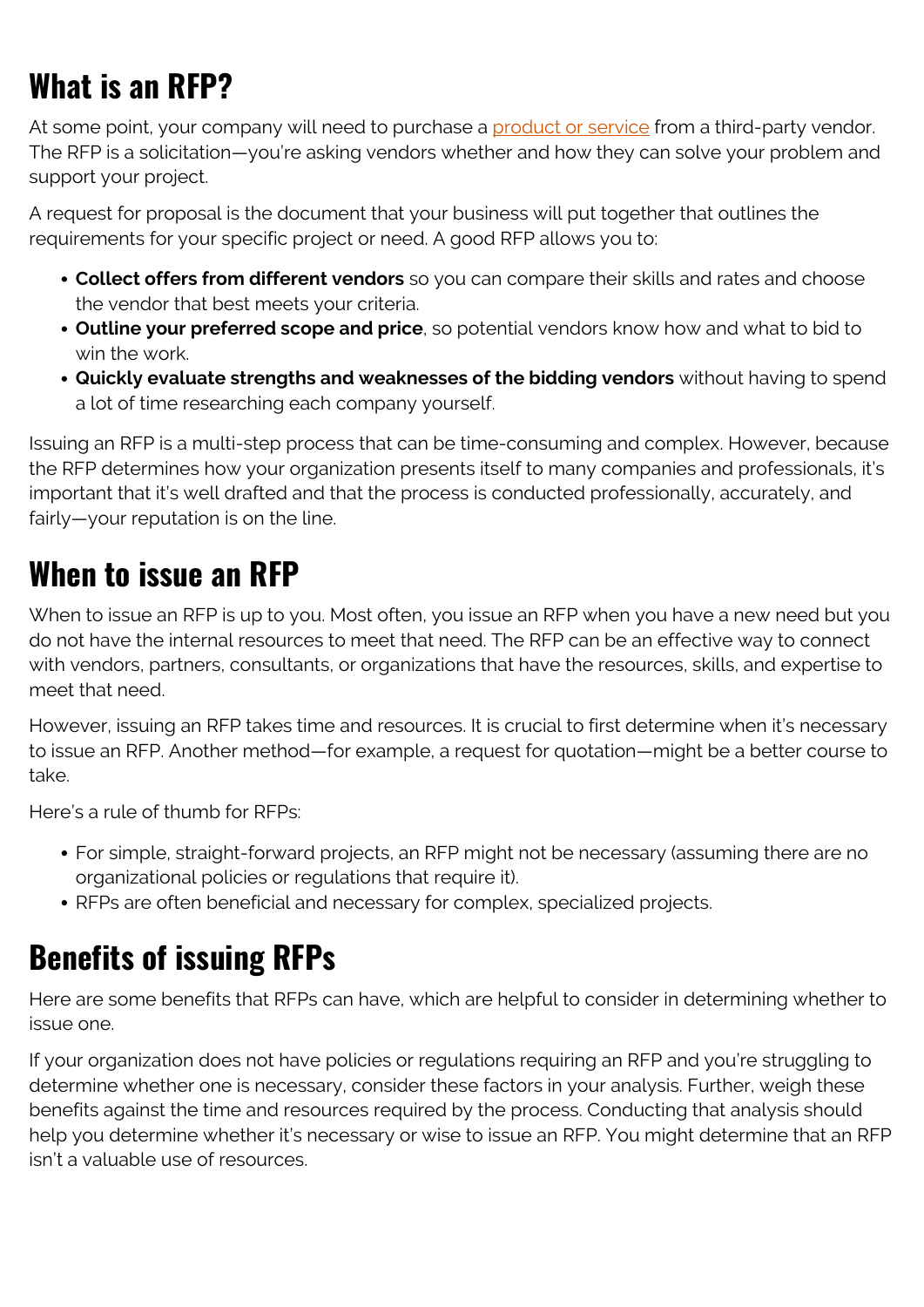# **What is an RFP?**

At some point, your company will need to purchase a [product or service](https://blogs.bmc.com/blogs/it-service/) from a third-party vendor. The RFP is a solicitation—you're asking vendors whether and how they can solve your problem and support your project.

A request for proposal is the document that your business will put together that outlines the requirements for your specific project or need. A good RFP allows you to:

- **Collect offers from different vendors** so you can compare their skills and rates and choose the vendor that best meets your criteria.
- **Outline your preferred scope and price**, so potential vendors know how and what to bid to win the work.
- **Quickly evaluate strengths and weaknesses of the bidding vendors** without having to spend a lot of time researching each company yourself.

Issuing an RFP is a multi-step process that can be time-consuming and complex. However, because the RFP determines how your organization presents itself to many companies and professionals, it's important that it's well drafted and that the process is conducted professionally, accurately, and fairly—your reputation is on the line.

## **When to issue an RFP**

When to issue an RFP is up to you. Most often, you issue an RFP when you have a new need but you do not have the internal resources to meet that need. The RFP can be an effective way to connect with vendors, partners, consultants, or organizations that have the resources, skills, and expertise to meet that need.

However, issuing an RFP takes time and resources. It is crucial to first determine when it's necessary to issue an RFP. Another method—for example, a request for quotation—might be a better course to take.

Here's a rule of thumb for RFPs:

- For simple, straight-forward projects, an RFP might not be necessary (assuming there are no organizational policies or regulations that require it).
- RFPs are often beneficial and necessary for complex, specialized projects.

## **Benefits of issuing RFPs**

Here are some benefits that RFPs can have, which are helpful to consider in determining whether to issue one.

If your organization does not have policies or regulations requiring an RFP and you're struggling to determine whether one is necessary, consider these factors in your analysis. Further, weigh these benefits against the time and resources required by the process. Conducting that analysis should help you determine whether it's necessary or wise to issue an RFP. You might determine that an RFP isn't a valuable use of resources.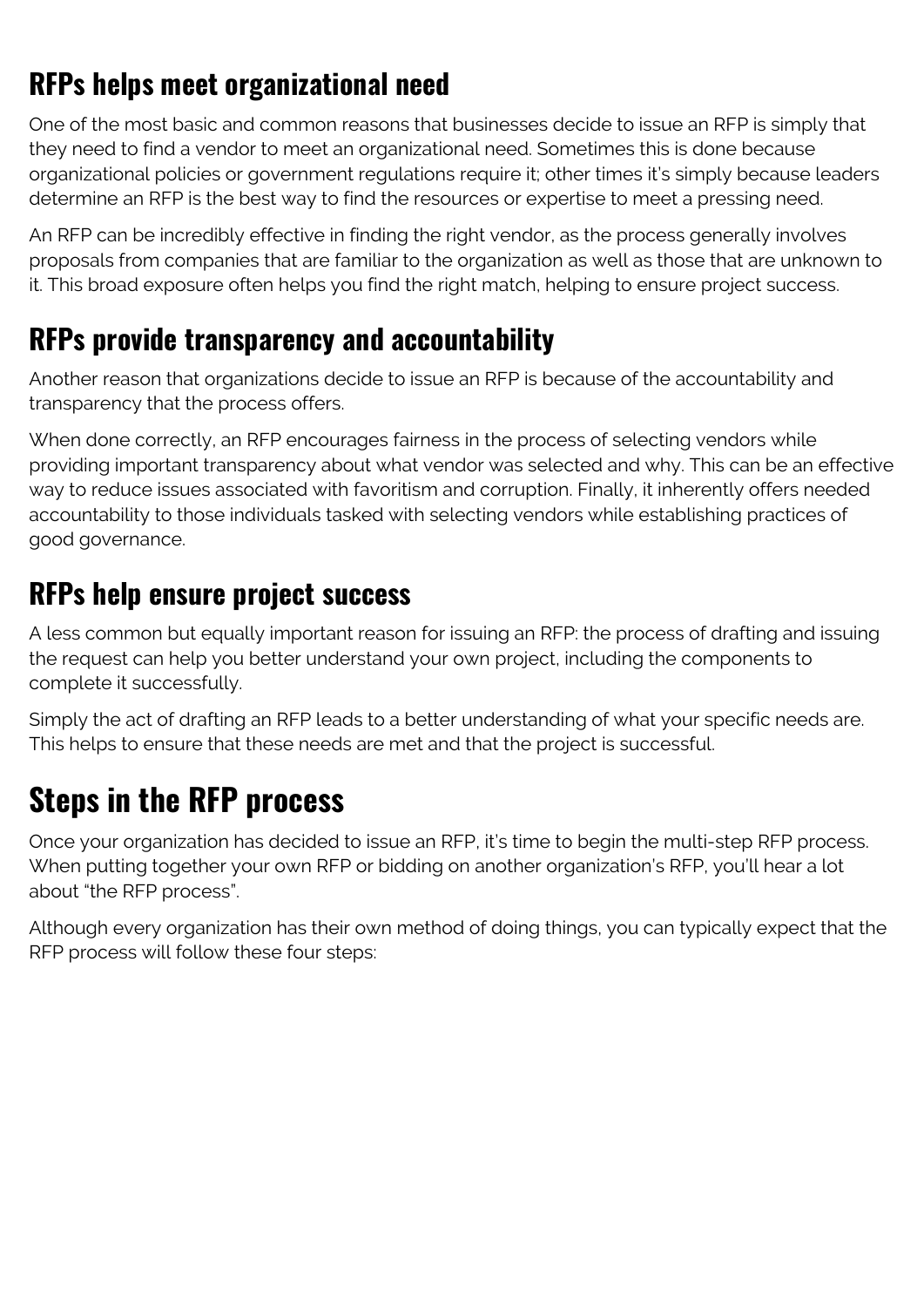## **RFPs helps meet organizational need**

One of the most basic and common reasons that businesses decide to issue an RFP is simply that they need to find a vendor to meet an organizational need. Sometimes this is done because organizational policies or government regulations require it; other times it's simply because leaders determine an RFP is the best way to find the resources or expertise to meet a pressing need.

An RFP can be incredibly effective in finding the right vendor, as the process generally involves proposals from companies that are familiar to the organization as well as those that are unknown to it. This broad exposure often helps you find the right match, helping to ensure project success.

#### **RFPs provide transparency and accountability**

Another reason that organizations decide to issue an RFP is because of the accountability and transparency that the process offers.

When done correctly, an RFP encourages fairness in the process of selecting vendors while providing important transparency about what vendor was selected and why. This can be an effective way to reduce issues associated with favoritism and corruption. Finally, it inherently offers needed accountability to those individuals tasked with selecting vendors while establishing practices of good governance.

#### **RFPs help ensure project success**

A less common but equally important reason for issuing an RFP: the process of drafting and issuing the request can help you better understand your own project, including the components to complete it successfully.

Simply the act of drafting an RFP leads to a better understanding of what your specific needs are. This helps to ensure that these needs are met and that the project is successful.

## **Steps in the RFP process**

Once your organization has decided to issue an RFP, it's time to begin the multi-step RFP process. When putting together your own RFP or bidding on another organization's RFP, you'll hear a lot about "the RFP process".

Although every organization has their own method of doing things, you can typically expect that the RFP process will follow these four steps: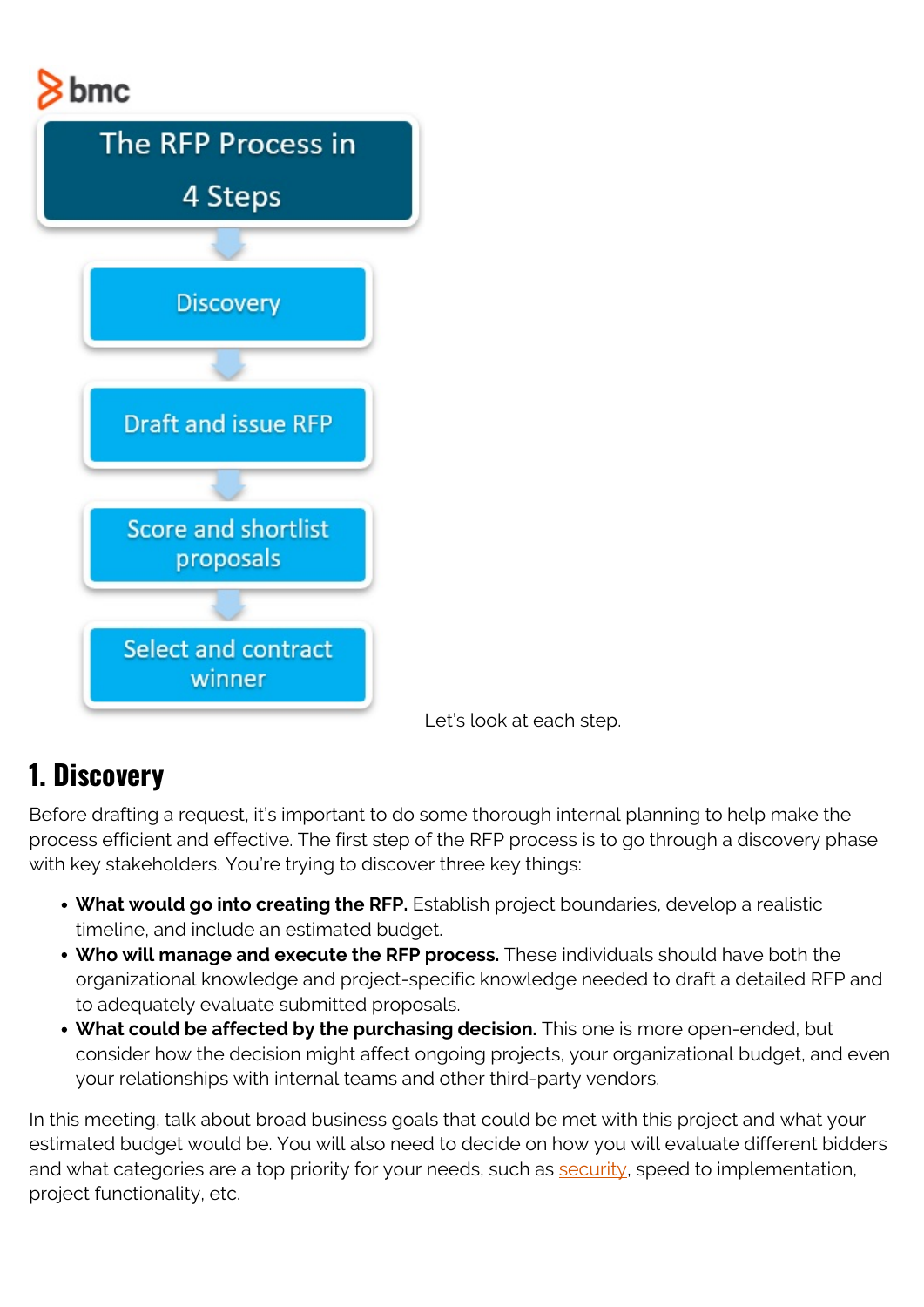# $8<sub>bmc</sub>$



Let's look at each step.

#### **1. Discovery**

Before drafting a request, it's important to do some thorough internal planning to help make the process efficient and effective. The first step of the RFP process is to go through a discovery phase with key stakeholders. You're trying to discover three key things:

- **What would go into creating the RFP.** Establish project boundaries, develop a realistic timeline, and include an estimated budget.
- **Who will manage and execute the RFP process.** These individuals should have both the organizational knowledge and project-specific knowledge needed to draft a detailed RFP and to adequately evaluate submitted proposals.
- **What could be affected by the purchasing decision.** This one is more open-ended, but consider how the decision might affect ongoing projects, your organizational budget, and even your relationships with internal teams and other third-party vendors.

In this meeting, talk about broad business goals that could be met with this project and what your estimated budget would be. You will also need to decide on how you will evaluate different bidders and what categories are a top priority for your needs, such as [security](https://blogs.bmc.com/blogs/security-vulnerability-vs-threat-vs-risk-whats-difference/), speed to implementation, project functionality, etc.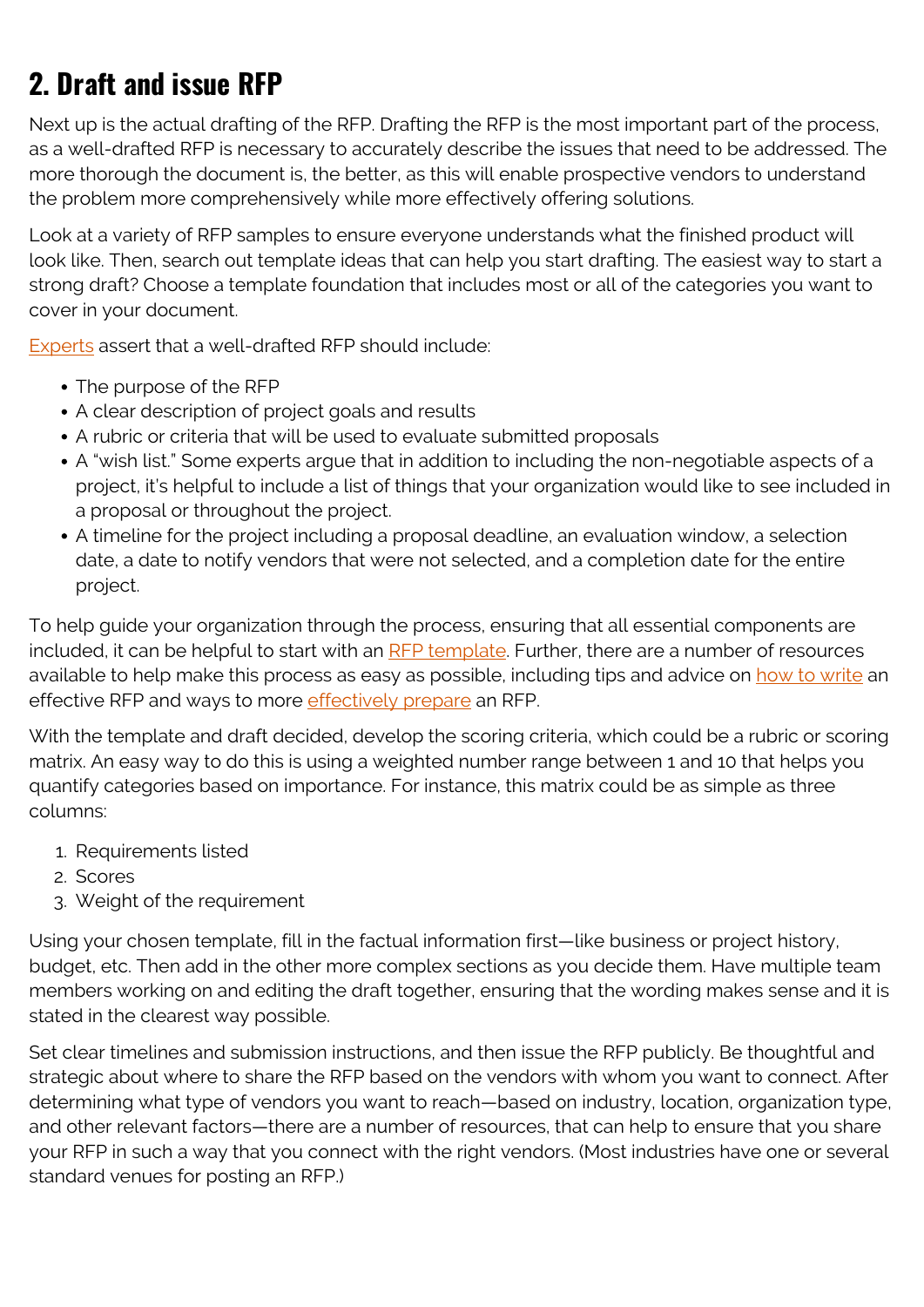## **2. Draft and issue RFP**

Next up is the actual drafting of the RFP. Drafting the RFP is the most important part of the process, as a well-drafted RFP is necessary to accurately describe the issues that need to be addressed. The more thorough the document is, the better, as this will enable prospective vendors to understand the problem more comprehensively while more effectively offering solutions.

Look at a variety of RFP samples to ensure everyone understands what the finished product will look like. Then, search out template ideas that can help you start drafting. The easiest way to start a strong draft? Choose a template foundation that includes most or all of the categories you want to cover in your document.

[Experts](https://www.forbes.com/sites/theyec/2015/06/04/writing-a-better-rfp-starts-with-clarity/#6ddd3c0c4038) assert that a well-drafted RFP should include:

- The purpose of the RFP
- A clear description of project goals and results
- A rubric or criteria that will be used to evaluate submitted proposals
- A "wish list." Some experts argue that in addition to including the non-negotiable aspects of a project, it's helpful to include a list of things that your organization would like to see included in a proposal or throughout the project.
- A timeline for the project including a proposal deadline, an evaluation window, a selection date, a date to notify vendors that were not selected, and a completion date for the entire project.

To help guide your organization through the process, ensuring that all essential components are included, it can be helpful to start with an [RFP template](https://learn.g2.com/rfp-request-for-proposal). Further, there are a number of resources available to help make this process as easy as possible, including tips and advice on [how to write](https://www.confluentforms.com/2009/06/6-steps-to-writing-better-request-for.html) an effective RFP and ways to more [effectively prepare](https://bizfluent.com/how-8355658-prepare-rfp-proposal.html) an RFP.

With the template and draft decided, develop the scoring criteria, which could be a rubric or scoring matrix. An easy way to do this is using a weighted number range between 1 and 10 that helps you quantify categories based on importance. For instance, this matrix could be as simple as three columns:

- 1. Requirements listed
- 2. Scores
- 3. Weight of the requirement

Using your chosen template, fill in the factual information first—like business or project history, budget, etc. Then add in the other more complex sections as you decide them. Have multiple team members working on and editing the draft together, ensuring that the wording makes sense and it is stated in the clearest way possible.

Set clear timelines and submission instructions, and then issue the RFP publicly. Be thoughtful and strategic about where to share the RFP based on the vendors with whom you want to connect. After determining what type of vendors you want to reach—based on industry, location, organization type, and other relevant factors—there are a number of resources, that can help to ensure that you share your RFP in such a way that you connect with the right vendors. (Most industries have one or several standard venues for posting an RFP.)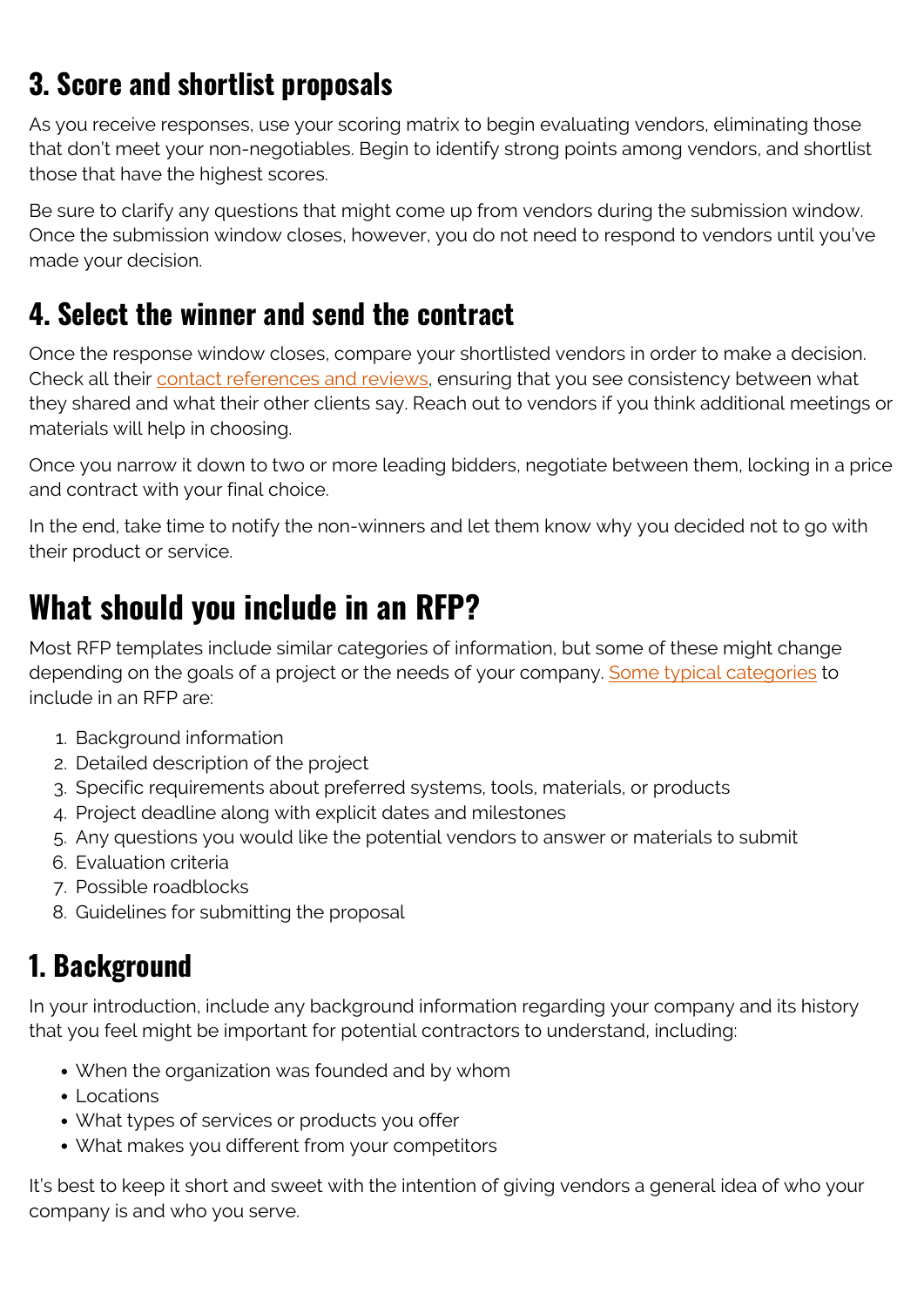## **3. Score and shortlist proposals**

As you receive responses, use your scoring matrix to begin evaluating vendors, eliminating those that don't meet your non-negotiables. Begin to identify strong points among vendors, and shortlist those that have the highest scores.

Be sure to clarify any questions that might come up from vendors during the submission window. Once the submission window closes, however, you do not need to respond to vendors until you've made your decision.

#### **4. Select the winner and send the contract**

Once the response window closes, compare your shortlisted vendors in order to make a decision. Check all their [contact references and reviews](https://www.emagine.com/rfp-for-b2b-website-project/), ensuring that you see consistency between what they shared and what their other clients say. Reach out to vendors if you think additional meetings or materials will help in choosing.

Once you narrow it down to two or more leading bidders, negotiate between them, locking in a price and contract with your final choice.

In the end, take time to notify the non-winners and let them know why you decided not to go with their product or service.

## **What should you include in an RFP?**

Most RFP templates include similar categories of information, but some of these might change depending on the goals of a project or the needs of your company. [Some typical categories](https://waynelockwood.blogspot.com/2018/06/how-to-write-request-for-proposal-with.html) to include in an RFP are:

- 1. Background information
- 2. Detailed description of the project
- 3. Specific requirements about preferred systems, tools, materials, or products
- 4. Project deadline along with explicit dates and milestones
- 5. Any questions you would like the potential vendors to answer or materials to submit
- 6. Evaluation criteria
- 7. Possible roadblocks
- 8. Guidelines for submitting the proposal

#### **1. Background**

In your introduction, include any background information regarding your company and its history that you feel might be important for potential contractors to understand, including:

- When the organization was founded and by whom
- Locations
- What types of services or products you offer
- What makes you different from your competitors

It's best to keep it short and sweet with the intention of giving vendors a general idea of who your company is and who you serve.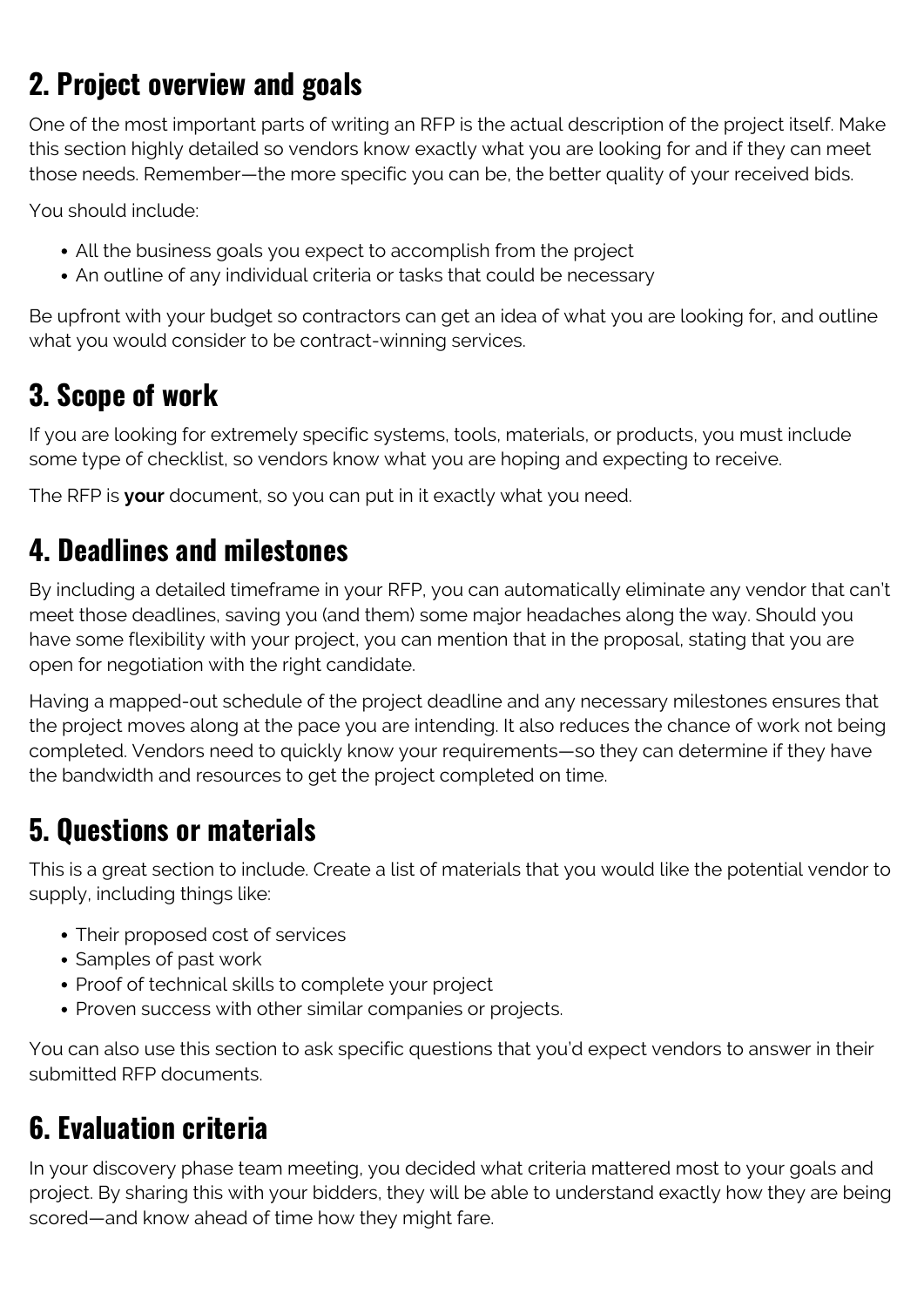## **2. Project overview and goals**

One of the most important parts of writing an RFP is the actual description of the project itself. Make this section highly detailed so vendors know exactly what you are looking for and if they can meet those needs. Remember—the more specific you can be, the better quality of your received bids.

You should include:

- All the business goals you expect to accomplish from the project
- An outline of any individual criteria or tasks that could be necessary

Be upfront with your budget so contractors can get an idea of what you are looking for, and outline what you would consider to be contract-winning services.

#### **3. Scope of work**

If you are looking for extremely specific systems, tools, materials, or products, you must include some type of checklist, so vendors know what you are hoping and expecting to receive.

The RFP is **your** document, so you can put in it exactly what you need.

#### **4. Deadlines and milestones**

By including a detailed timeframe in your RFP, you can automatically eliminate any vendor that can't meet those deadlines, saving you (and them) some major headaches along the way. Should you have some flexibility with your project, you can mention that in the proposal, stating that you are open for negotiation with the right candidate.

Having a mapped-out schedule of the project deadline and any necessary milestones ensures that the project moves along at the pace you are intending. It also reduces the chance of work not being completed. Vendors need to quickly know your requirements—so they can determine if they have the bandwidth and resources to get the project completed on time.

#### **5. Questions or materials**

This is a great section to include. Create a list of materials that you would like the potential vendor to supply, including things like:

- Their proposed cost of services
- Samples of past work
- Proof of technical skills to complete your project
- Proven success with other similar companies or projects.

You can also use this section to ask specific questions that you'd expect vendors to answer in their submitted RFP documents.

#### **6. Evaluation criteria**

In your discovery phase team meeting, you decided what criteria mattered most to your goals and project. By sharing this with your bidders, they will be able to understand exactly how they are being scored—and know ahead of time how they might fare.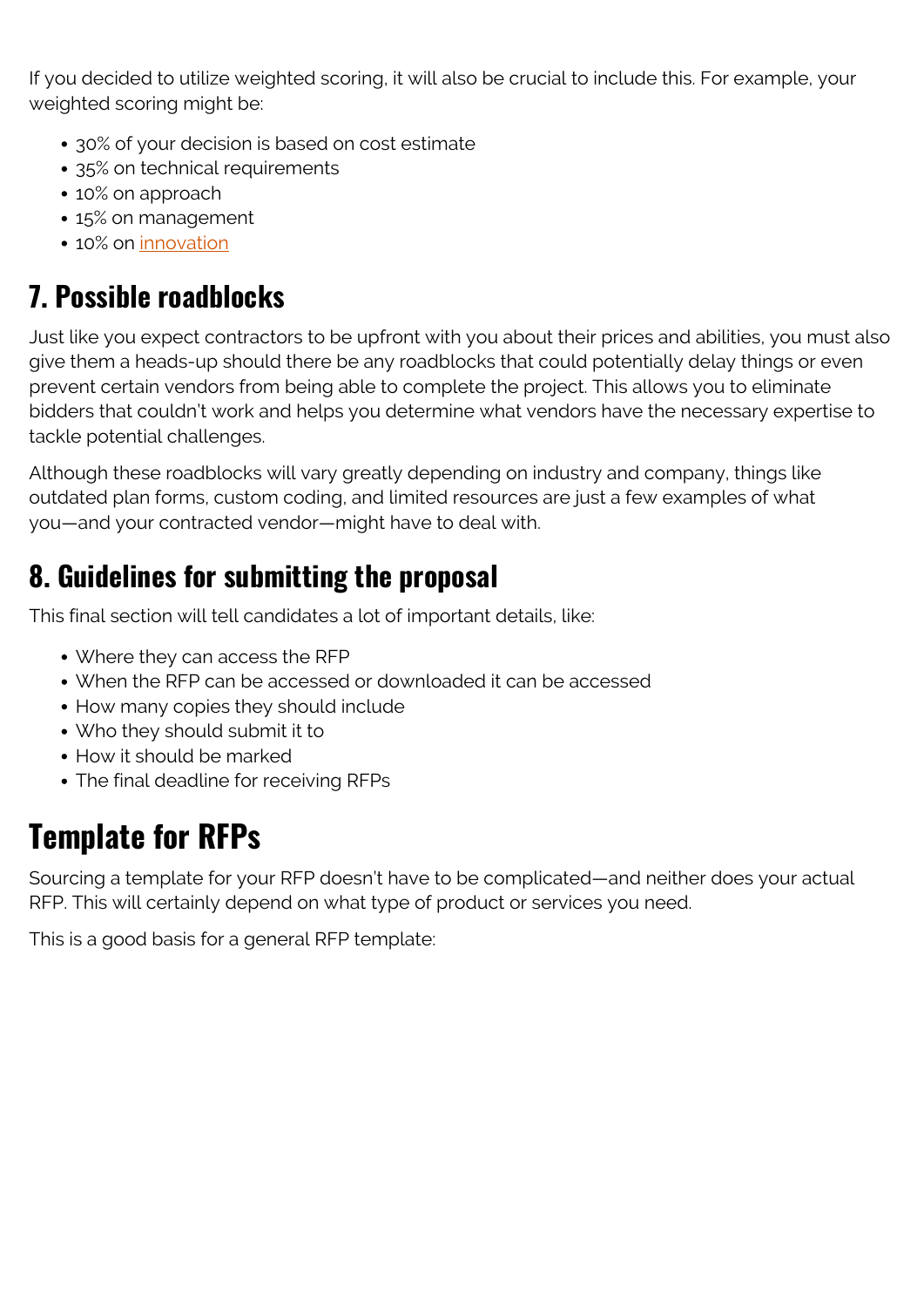If you decided to utilize weighted scoring, it will also be crucial to include this. For example, your weighted scoring might be:

- 30% of your decision is based on cost estimate
- 35% on technical requirements
- 10% on approach
- 15% on management
- 10% on [innovation](https://blogs.bmc.com/blogs/innovation-lab/)

## **7. Possible roadblocks**

Just like you expect contractors to be upfront with you about their prices and abilities, you must also give them a heads-up should there be any roadblocks that could potentially delay things or even prevent certain vendors from being able to complete the project. This allows you to eliminate bidders that couldn't work and helps you determine what vendors have the necessary expertise to tackle potential challenges.

Although these roadblocks will vary greatly depending on industry and company, things like outdated plan forms, custom coding, and limited resources are just a few examples of what you—and your contracted vendor—might have to deal with.

## **8. Guidelines for submitting the proposal**

This final section will tell candidates a lot of important details, like:

- Where they can access the RFP
- When the RFP can be accessed or downloaded it can be accessed
- How many copies they should include
- Who they should submit it to
- How it should be marked
- The final deadline for receiving RFPs

# **Template for RFPs**

Sourcing a template for your RFP doesn't have to be complicated—and neither does your actual RFP. This will certainly depend on what type of product or services you need.

This is a good basis for a general RFP template: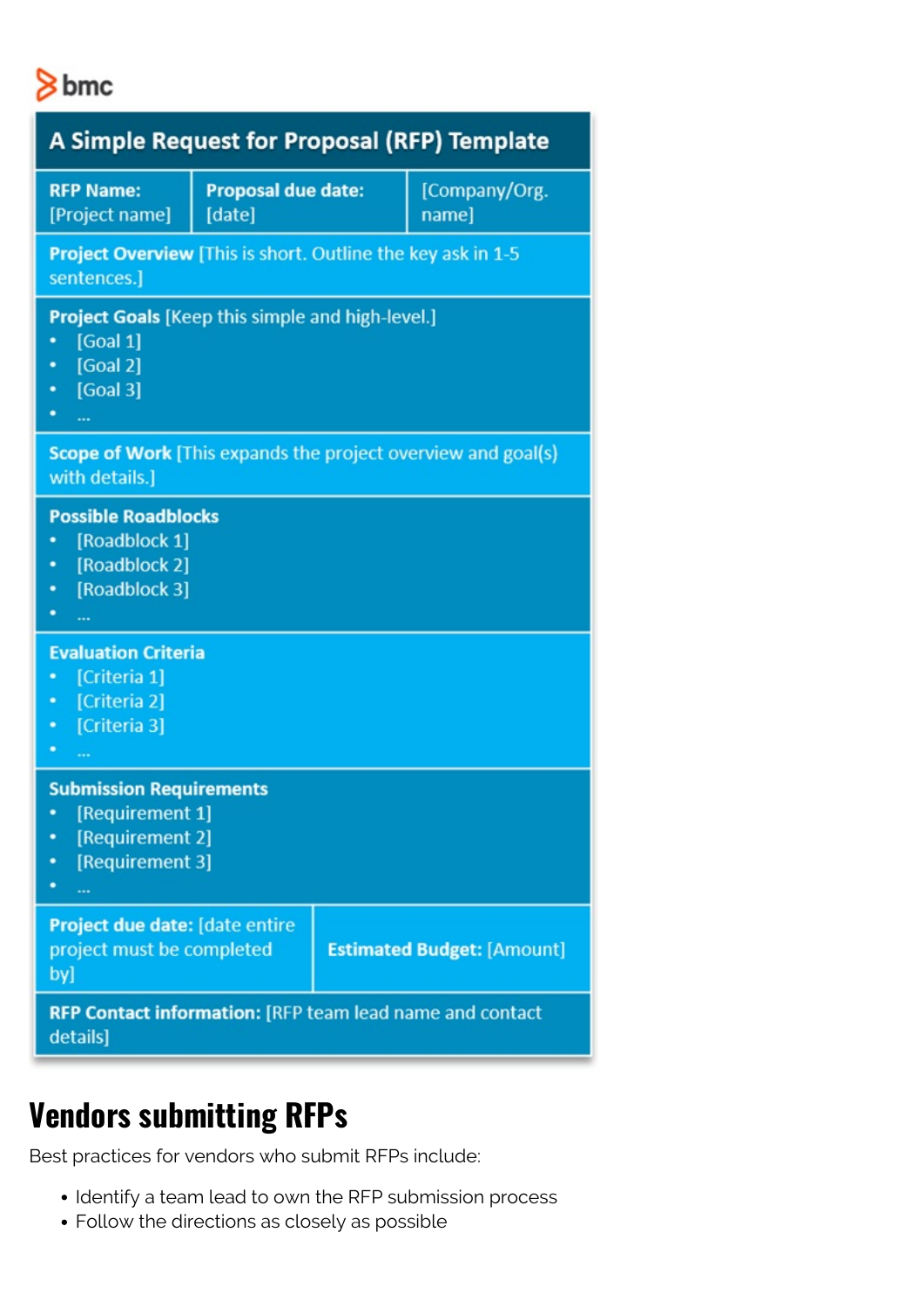

| <b>A Simple Request for Proposal (RFP) Template</b>                                                                      |  |  |                                   |
|--------------------------------------------------------------------------------------------------------------------------|--|--|-----------------------------------|
| <b>RFP Name:</b><br><b>Proposal due date:</b><br>[Project name]<br>[date]                                                |  |  | [Company/Org.<br>name]            |
| <b>Project Overview</b> [This is short. Outline the key ask in 1-5<br>sentences.]                                        |  |  |                                   |
| <b>Project Goals</b> [Keep this simple and high-level.]<br>[Goal 1]<br>[Goal 2]<br>٠<br>[Goal 3]<br>٠<br>. .<br>$\cdots$ |  |  |                                   |
| Scope of Work [This expands the project overview and goal(s)<br>with details.]                                           |  |  |                                   |
| <b>Possible Roadblocks</b><br>[Roadblock 1]<br>٠<br>[Roadblock 2]<br>٠<br>[Roadblock 3]<br>٠<br>٠<br>                    |  |  |                                   |
| <b>Evaluation Criteria</b><br>[Criteria 1]<br>[Criteria 2]<br>٠<br>[Criteria 3]<br>٠<br>٠                                |  |  |                                   |
| <b>Submission Requirements</b><br>[Requirement 1]<br>[Requirement 2]<br>[Requirement 3]<br>٠<br>                         |  |  |                                   |
| Project due date: [date entire<br>project must be completed<br>by]                                                       |  |  | <b>Estimated Budget: [Amount]</b> |
| RFP Contact information: [RFP team lead name and contact<br>details]                                                     |  |  |                                   |

## **Vendors submitting RFPs**

Best practices for vendors who submit RFPs include:

- Identify a team lead to own the RFP submission process
- Follow the directions as closely as possible